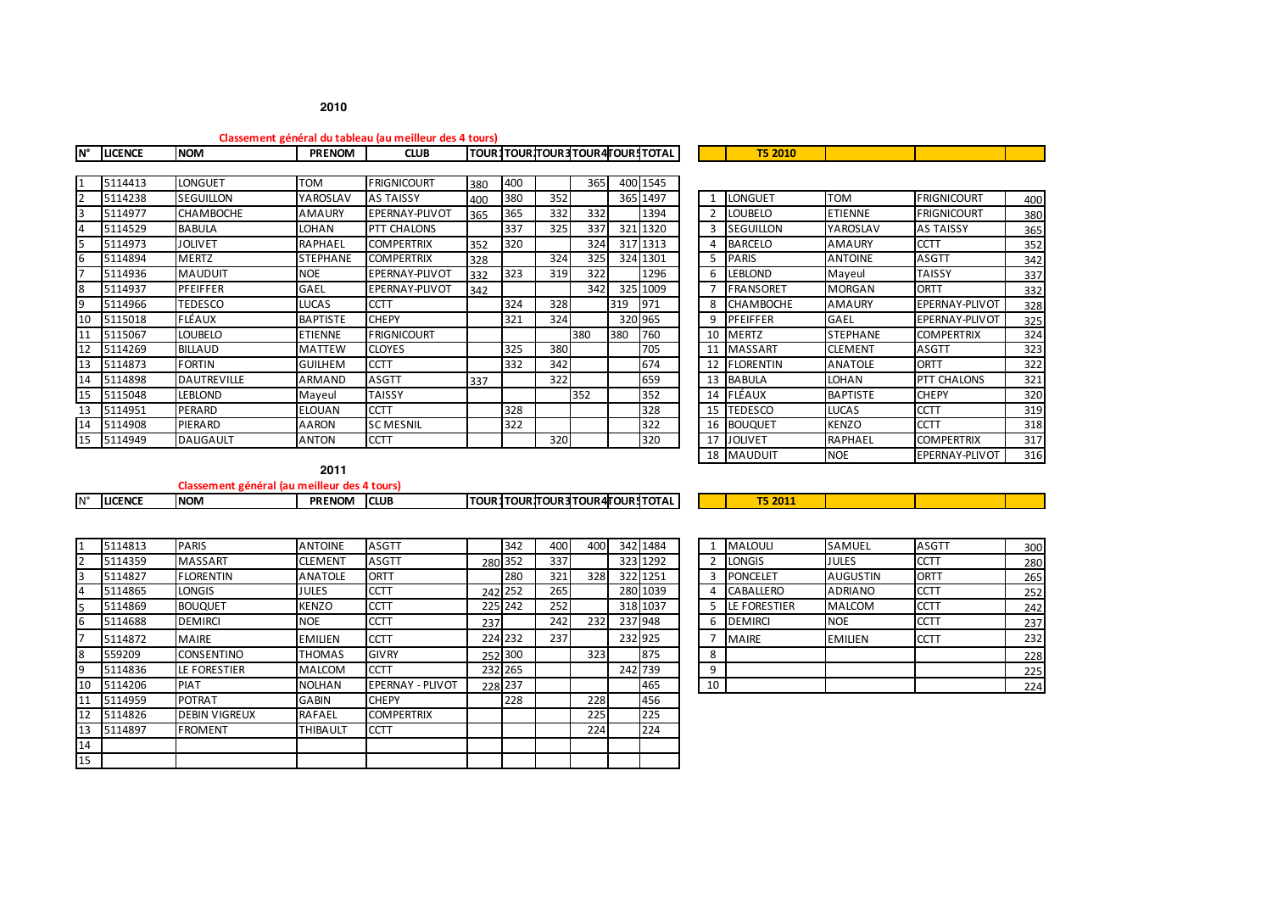|     |                |                    |                 | Classement général du tableau (au meilleur des 4 tours) |     |     |     |     |     |                                            |               |                  |                 |                    |     |
|-----|----------------|--------------------|-----------------|---------------------------------------------------------|-----|-----|-----|-----|-----|--------------------------------------------|---------------|------------------|-----------------|--------------------|-----|
| ١N° | <b>LICENCE</b> | <b>NOM</b>         | <b>PRENOM</b>   | <b>CLUB</b>                                             |     |     |     |     |     | <b>TOUR 1TOUR TOUR 3 TOUR 4TOUR 1TOTAL</b> |               | <b>T5 2010</b>   |                 |                    |     |
|     |                |                    |                 |                                                         |     |     |     |     |     |                                            |               |                  |                 |                    |     |
|     | 5114413        | <b>LONGUET</b>     | <b>TOM</b>      | <b>FRIGNICOURT</b>                                      | 380 | 400 |     | 365 |     | 400 1545                                   |               |                  |                 |                    |     |
|     | 5114238        | <b>SEGUILLON</b>   | YAROSLAV        | <b>AS TAISSY</b>                                        | 400 | 380 | 352 |     |     | 365 1497                                   |               | <b>LONGUET</b>   | <b>TOM</b>      | <b>FRIGNICOURT</b> | 400 |
|     | 5114977        | <b>CHAMBOCHE</b>   | AMAURY          | <b>EPERNAY-PLIVOT</b>                                   | 365 | 365 | 332 | 332 |     | 1394                                       | $\mathcal{I}$ | <b>LOUBELO</b>   | <b>ETIENNE</b>  | <b>FRIGNICOURT</b> | 380 |
|     | 5114529        | <b>BABULA</b>      | <b>LOHAN</b>    | <b>PTT CHALONS</b>                                      |     | 337 | 325 | 337 |     | 321 1320                                   |               | <b>SEGUILLON</b> | YAROSLAV        | <b>AS TAISSY</b>   | 365 |
|     | 5114973        | <b>JOLIVET</b>     | <b>RAPHAEL</b>  | <b>COMPERTRIX</b>                                       | 352 | 320 |     | 324 |     | 317 1313                                   |               | <b>BARCELO</b>   | <b>AMAURY</b>   | <b>CCTT</b>        | 352 |
| 16  | 5114894        | <b>MERTZ</b>       | <b>STEPHANE</b> | <b>COMPERTRIX</b>                                       | 328 |     | 324 | 325 |     | 324 1301                                   |               | <b>PARIS</b>     | <b>ANTOINE</b>  | <b>ASGTT</b>       | 342 |
|     | 5114936        | <b>MAUDUIT</b>     | <b>NOE</b>      | EPERNAY-PLIVOT                                          | 332 | 323 | 319 | 322 |     | 1296                                       | 6             | <b>LEBLOND</b>   | Mayeul          | <b>TAISSY</b>      | 337 |
| Ι8  | 5114937        | <b>PFEIFFER</b>    | <b>GAEL</b>     | EPERNAY-PLIVOT                                          | 342 |     |     | 342 |     | 325 1009                                   |               | <b>FRANSORET</b> | <b>MORGAN</b>   | <b>ORTT</b>        | 332 |
|     | 5114966        | <b>TEDESCO</b>     | <b>LUCAS</b>    | <b>CCTT</b>                                             |     | 324 | 328 |     | 319 | 971                                        | 8             | <b>CHAMBOCHE</b> | <b>AMAURY</b>   | EPERNAY-PLIVOT     | 328 |
| 10  | 5115018        | <b>FLÉAUX</b>      | <b>BAPTISTE</b> | <b>CHEPY</b>                                            |     | 321 | 324 |     |     | 320 965                                    | q             | <b>PFEIFFER</b>  | <b>GAEL</b>     | EPERNAY-PLIVOT     | 325 |
| 11  | 5115067        | <b>LOUBELO</b>     | <b>ETIENNE</b>  | <b>FRIGNICOURT</b>                                      |     |     |     | 380 | 380 | 760                                        | 10            | <b>MERTZ</b>     | <b>STEPHANE</b> | <b>COMPERTRIX</b>  | 324 |
| 12  | 5114269        | <b>BILLAUD</b>     | <b>MATTEW</b>   | <b>CLOYES</b>                                           |     | 325 | 380 |     |     | 705                                        | 11            | <b>MASSART</b>   | <b>CLEMENT</b>  | <b>ASGTT</b>       | 323 |
| 13  | 5114873        | <b>FORTIN</b>      | <b>GUILHEM</b>  | <b>CCTT</b>                                             |     | 332 | 342 |     |     | 674                                        | 12            | <b>FLORENTIN</b> | <b>ANATOLE</b>  | <b>ORTT</b>        | 322 |
| 14  | 5114898        | <b>DAUTREVILLE</b> | <b>ARMAND</b>   | <b>ASGTT</b>                                            | 337 |     | 322 |     |     | 659                                        | 13            | <b>BABULA</b>    | LOHAN           | PTT CHALONS        | 321 |
| 15  | 5115048        | <b>LEBLOND</b>     | Mayeul          | TAISSY                                                  |     |     |     | 352 |     | 352                                        | 14            | FLÉAUX           | <b>BAPTISTE</b> | <b>CHEPY</b>       | 320 |
| 13  | 5114951        | PERARD             | <b>ELOUAN</b>   | <b>CCTT</b>                                             |     | 328 |     |     |     | 328                                        | 15            | <b>TEDESCO</b>   | LUCAS           | <b>CCTT</b>        | 319 |
| 14  | 5114908        | PIERARD            | AARON           | <b>SC MESNIL</b>                                        |     | 322 |     |     |     | 322                                        | 16            | <b>BOUQUET</b>   | <b>KENZO</b>    | <b>CCTT</b>        | 318 |
| 15  | 5114949        | <b>DALIGAULT</b>   | <b>ANTON</b>    | <b>CCTT</b>                                             |     |     | 320 |     |     | 320                                        |               | 17 JOLIVET       | <b>RAPHAEL</b>  | <b>COMPERTRIX</b>  | 317 |

18 MAUDUIT NOE EPERNAY-PLIVOT 316

**Classement général (au meilleur des 4 tours)**

|    |                | Classement general (au meilieur des 4 tours) |                |                         |     |                     |     |     |                                      |    |                  |                 |              |     |
|----|----------------|----------------------------------------------|----------------|-------------------------|-----|---------------------|-----|-----|--------------------------------------|----|------------------|-----------------|--------------|-----|
|    | <b>LICENCE</b> | <b>NOM</b>                                   | PRENOM CLUB    |                         |     |                     |     |     | TOUR TOUR TOUR 3 TOUR 4 TOUR 1 TOTAL |    | T5 2011          |                 |              |     |
|    |                |                                              |                |                         |     |                     |     |     |                                      |    |                  |                 |              |     |
|    | 5114813        | <b>PARIS</b>                                 | <b>ANTOINE</b> | <b>ASGTT</b>            |     | 342                 | 400 | 400 | 342 1484                             |    | <b>MALOULI</b>   | <b>SAMUEL</b>   | <b>ASGTT</b> | 300 |
|    | 5114359        | <b>MASSART</b>                               | <b>CLEMENT</b> | <b>ASGTT</b>            |     | 280 352             | 337 |     | 323 1292                             |    | LONGIS           | JULES           | <b>CCTT</b>  | 280 |
|    | 5114827        | <b>FLORENTIN</b>                             | <b>ANATOLE</b> | <b>ORTT</b>             |     | 280                 | 321 | 328 | 322 1251                             |    | <b>PONCELET</b>  | <b>AUGUSTIN</b> | <b>ORTT</b>  | 265 |
|    | 5114865        | <b>LONGIS</b>                                | <b>JULES</b>   | <b>CCTT</b>             |     | 242 252             | 265 |     | 280 1039                             |    | <b>CABALLERO</b> | <b>ADRIANO</b>  | <b>CCTT</b>  | 252 |
|    | 5114869        | <b>BOUQUET</b>                               | <b>KENZO</b>   | <b>CCTT</b>             |     | 225 242             | 252 |     | 318 1037                             |    | LE FORESTIER     | <b>MALCOM</b>   | <b>CCTT</b>  | 242 |
|    | 5114688        | <b>DEMIRCI</b>                               | <b>NOE</b>     | <b>CCTT</b>             | 237 |                     | 242 | 232 | 237 948                              | 6  | <b>IDEMIRCI</b>  | <b>NOE</b>      | <b>CCTT</b>  | 237 |
|    | 5114872        | <b>MAIRE</b>                                 | <b>EMILIEN</b> | <b>CCTT</b>             |     | 224 232             | 237 |     | 232 925                              |    | <b>MAIRE</b>     | <b>EMILIEN</b>  | <b>CCTT</b>  | 232 |
|    | 559209         | <b>CONSENTINO</b>                            | THOMAS         | <b>GIVRY</b>            |     | 252 300             |     | 323 | 875                                  | 8  |                  |                 |              | 228 |
|    | 5114836        | LE FORESTIER                                 | <b>MALCOM</b>  | <b>CCTT</b>             |     | 232 265             |     |     | 242 739                              | 9  |                  |                 |              | 225 |
| 10 | 5114206        | <b>PIAT</b>                                  | <b>NOLHAN</b>  | <b>EPERNAY - PLIVOT</b> |     | $228\overline{237}$ |     |     | 465                                  | 10 |                  |                 |              | 224 |
|    | 5114959        | <b>POTRAT</b>                                | <b>GABIN</b>   | <b>CHEPY</b>            |     | 228                 |     | 228 | 456                                  |    |                  |                 |              |     |
| 12 | 5114826        | <b>DEBIN VIGREUX</b>                         | RAFAEL         | <b>COMPERTRIX</b>       |     |                     |     | 225 | 225                                  |    |                  |                 |              |     |
| 13 | 5114897        | <b>FROMENT</b>                               | THIBAULT       | <b>CCTT</b>             |     |                     |     | 224 | 224                                  |    |                  |                 |              |     |
| 14 |                |                                              |                |                         |     |                     |     |     |                                      |    |                  |                 |              |     |
| 15 |                |                                              |                |                         |     |                     |     |     |                                      |    |                  |                 |              |     |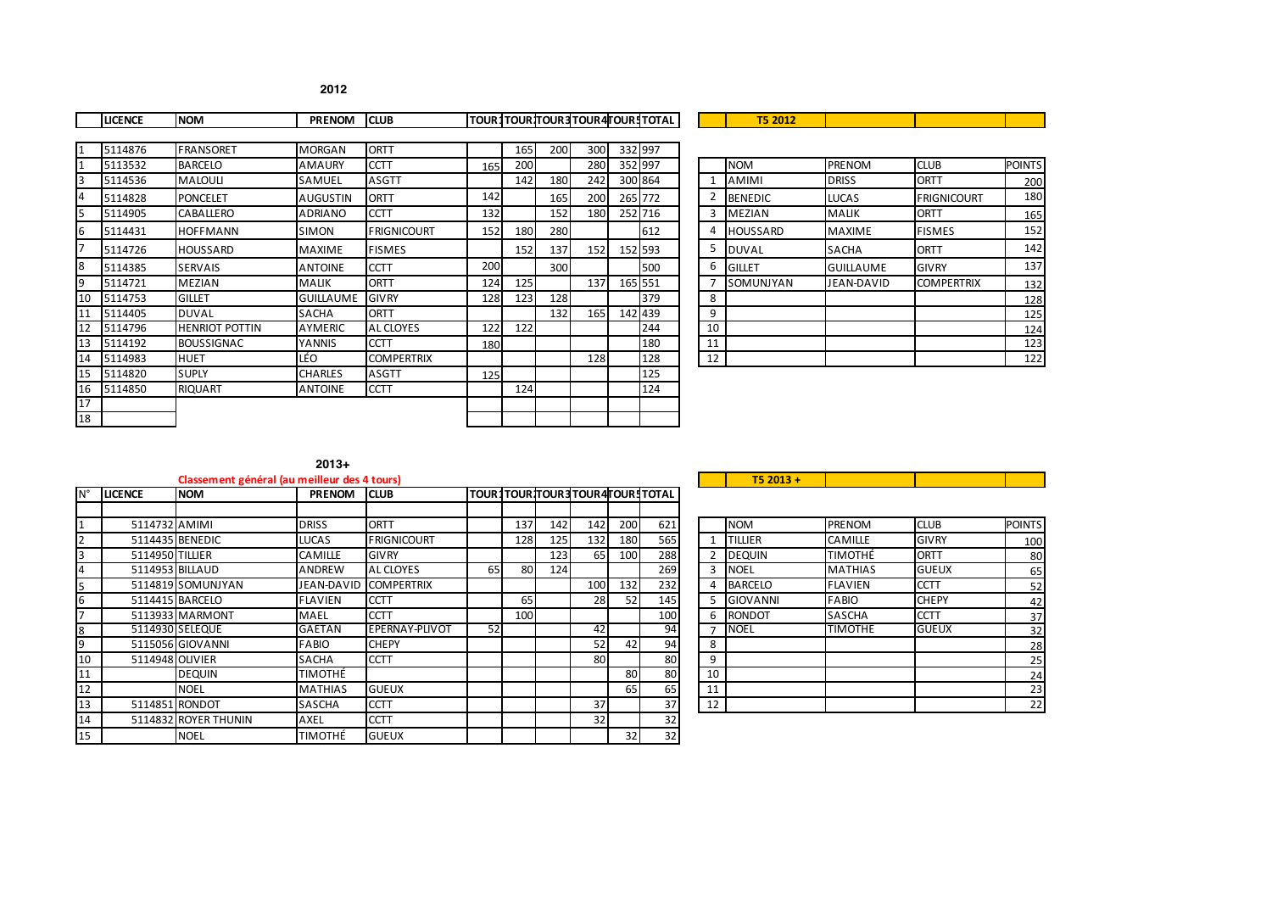|           | <b>LICENCE</b> | <b>NOM</b>            | <b>PRENOM</b>    | <b>CLUB</b>        |     |     |     |                  | TOUR1TOURTOUR3TOUR4TOUR1TOTAL |    | <b>T5 2012</b>  |                  |                    |               |
|-----------|----------------|-----------------------|------------------|--------------------|-----|-----|-----|------------------|-------------------------------|----|-----------------|------------------|--------------------|---------------|
|           |                |                       |                  |                    |     |     |     |                  |                               |    |                 |                  |                    |               |
|           | 5114876        | <b>FRANSORET</b>      | <b>MORGAN</b>    | ORTT               |     | 165 | 200 | 300 <sup>1</sup> | 332 997                       |    |                 |                  |                    |               |
|           | 5113532        | <b>BARCELO</b>        | <b>AMAURY</b>    | <b>CCTT</b>        | 165 | 200 |     | <b>280</b>       | 352 997                       |    | <b>NOM</b>      | <b>PRENOM</b>    | <b>CLUB</b>        | <b>POINTS</b> |
|           | 5114536        | <b>MALOULI</b>        | SAMUEL           | <b>ASGTT</b>       |     | 142 | 180 | 242              | 300 864                       |    | <b>AMIMI</b>    | <b>DRISS</b>     | <b>ORTT</b>        | 200           |
|           | 5114828        | <b>PONCELET</b>       | <b>AUGUSTIN</b>  | <b>ORTT</b>        | 142 |     | 165 | 200              | 265 772                       |    | <b>BENEDIC</b>  | <b>LUCAS</b>     | <b>FRIGNICOURT</b> | 180           |
| 5         | 5114905        | <b>CABALLERO</b>      | <b>ADRIANO</b>   | <b>CCTT</b>        | 132 |     | 152 | 180              | 252 716                       | 3  | <b>MEZIAN</b>   | <b>MALIK</b>     | <b>ORTT</b>        | 165           |
| 6         | 5114431        | <b>HOFFMANN</b>       | <b>SIMON</b>     | <b>FRIGNICOURT</b> | 152 | 180 | 280 |                  | 612                           | 4  | <b>HOUSSARD</b> | <b>MAXIME</b>    | <b>FISMES</b>      | 152           |
|           | 5114726        | HOUSSARD              | <b>MAXIME</b>    | <b>FISMES</b>      |     | 152 | 137 | 152              | 152 593                       | 5  | <b>DUVAL</b>    | <b>SACHA</b>     | <b>ORTT</b>        | 142           |
| 8         | 5114385        | <b>SERVAIS</b>        | <b>ANTOINE</b>   | <b>CCTT</b>        | 200 |     | 300 |                  | 500                           | 6  | <b>GILLET</b>   | <b>GUILLAUME</b> | <b>GIVRY</b>       | 137           |
| l 9       | 5114721        | <b>MEZIAN</b>         | <b>MALIK</b>     | <b>ORTT</b>        | 124 | 125 |     | 137              | 165 551                       |    | SOMUNJYAN       | JEAN-DAVID       | <b>COMPERTRIX</b>  | 132           |
| 10        | 5114753        | <b>GILLET</b>         | <b>GUILLAUME</b> | <b>GIVRY</b>       | 128 | 123 | 128 |                  | 379                           | 8  |                 |                  |                    | 128           |
| 11        | 5114405        | <b>DUVAL</b>          | <b>SACHA</b>     | <b>ORTT</b>        |     |     | 132 | 165              | 142 439                       | 9  |                 |                  |                    | 125           |
| <b>12</b> | 5114796        | <b>HENRIOT POTTIN</b> | <b>AYMERIC</b>   | <b>AL CLOYES</b>   | 122 | 122 |     |                  | 244                           | 10 |                 |                  |                    | 124           |
| 13        | 5114192        | <b>BOUSSIGNAC</b>     | YANNIS           | <b>CCTT</b>        | 180 |     |     |                  | 180                           | 11 |                 |                  |                    | 123           |
| 14        | 5114983        | <b>HUET</b>           | LÉO              | <b>COMPERTRIX</b>  |     |     |     | 128              | 128                           | 12 |                 |                  |                    | 122           |
| 15        | 5114820        | <b>SUPLY</b>          | <b>CHARLES</b>   | <b>ASGTT</b>       | 125 |     |     |                  | 125                           |    |                 |                  |                    |               |
| 16        | 5114850        | <b>RIQUART</b>        | <b>ANTOINE</b>   | <b>CCTT</b>        |     | 124 |     |                  | 124                           |    |                 |                  |                    |               |
| 17        |                |                       |                  |                    |     |     |     |                  |                               |    |                 |                  |                    |               |
| 18        |                |                       |                  |                    |     |     |     |                  |                               |    |                 |                  |                    |               |

|  | $2013+$ |  |
|--|---------|--|
|  | ------  |  |

|             |                 | Classement général (au meilleur des 4 tours) |                |                    |    |     |     |                               |                 |     |    | $T52013 +$      |                |              |               |
|-------------|-----------------|----------------------------------------------|----------------|--------------------|----|-----|-----|-------------------------------|-----------------|-----|----|-----------------|----------------|--------------|---------------|
| $N^{\circ}$ | <b>LICENCE</b>  | <b>NOM</b>                                   | <b>PRENOM</b>  | <b>CLUB</b>        |    |     |     | TOUR1TOURTOUR3TOUR4TOUR1TOTAL |                 |     |    |                 |                |              |               |
|             |                 |                                              |                |                    |    |     |     |                               |                 |     |    |                 |                |              |               |
|             | 5114732 AMIMI   |                                              | <b>DRISS</b>   | <b>ORTT</b>        |    | 137 | 142 | 142                           | <b>200</b>      | 621 |    | <b>NOM</b>      | <b>PRENOM</b>  | <b>CLUB</b>  | <b>POINTS</b> |
|             |                 | 5114435 BENEDIC                              | <b>LUCAS</b>   | <b>FRIGNICOURT</b> |    | 128 | 125 | 132                           | 180             | 565 |    | <b>TILLIER</b>  | <b>CAMILLE</b> | <b>GIVRY</b> | 100           |
| 3           | 5114950 TILLIER |                                              | <b>CAMILLE</b> | <b>GIVRY</b>       |    |     | 123 | 65                            | 100             | 288 |    | <b>DEQUIN</b>   | <b>TIMOTHÉ</b> | <b>ORTT</b>  | 80            |
| 4           |                 | 5114953 BILLAUD                              | <b>ANDREW</b>  | AL CLOYES          | 65 | 80  | 124 |                               |                 | 269 | 3  | <b>NOEL</b>     | <b>MATHIAS</b> | <b>GUEUX</b> | 65            |
| 5           |                 | 5114819 SOMUNJYAN                            | JEAN-DAVID     | <b>COMPERTRIX</b>  |    |     |     | 100                           | 132             | 232 | 4  | <b>BARCELO</b>  | <b>FLAVIEN</b> | <b>CCTT</b>  | 52            |
| 6           |                 | 5114415 BARCELO                              | FLAVIEN        | <b>CCTT</b>        |    | 65  |     | 28                            | 52              | 145 |    | <b>GIOVANNI</b> | <b>FABIO</b>   | <b>CHEPY</b> | 42            |
|             |                 | 5113933 MARMONT                              | MAEL           | <b>CCTT</b>        |    | 100 |     |                               |                 | 100 | 6  | <b>RONDOT</b>   | <b>SASCHA</b>  | <b>CCTT</b>  | 37            |
| 8           |                 | 5114930 SELEQUE                              | GAETAN         | EPERNAY-PLIVOT     | 52 |     |     | 42                            |                 | 94  |    | <b>NOEL</b>     | <b>TIMOTHE</b> | <b>GUEUX</b> | 32            |
| 9           |                 | 5115056 GIOVANNI                             | <b>FABIO</b>   | <b>CHEPY</b>       |    |     |     | 52                            | 42              | 94  | 8  |                 |                |              | 28            |
| 10          |                 | 5114948 OLIVIER                              | SACHA          | <b>CCTT</b>        |    |     |     | 80                            |                 | 80  | 9  |                 |                |              | 25            |
| 11          |                 | <b>DEQUIN</b>                                | TIMOTHÉ        |                    |    |     |     |                               | 80              | 80  | 10 |                 |                |              | 24            |
| 12          |                 | <b>NOEL</b>                                  | <b>MATHIAS</b> | <b>GUEUX</b>       |    |     |     |                               | 65              | 65  | 11 |                 |                |              | 23            |
| 13          |                 | 5114851 RONDOT                               | <b>SASCHA</b>  | <b>CCTT</b>        |    |     |     | 37                            |                 | 37  | 12 |                 |                |              | 22            |
| 14          |                 | 5114832 ROYER THUNIN                         | <b>AXEL</b>    | <b>CCTT</b>        |    |     |     | 32                            |                 | 32  |    |                 |                |              |               |
| 15          |                 | <b>NOEL</b>                                  | TIMOTHÉ        | <b>GUEUX</b>       |    |     |     |                               | 32 <sup>1</sup> | 32  |    |                 |                |              |               |

|                | <b>NOM</b>      | PRENOM         | <b>CLUB</b>  | <b>POINTS</b> |
|----------------|-----------------|----------------|--------------|---------------|
| $\mathbf{1}$   | <b>TILLIER</b>  | <b>CAMILLE</b> | <b>GIVRY</b> | 100           |
| $\overline{2}$ | <b>DEQUIN</b>   | <b>TIMOTHÉ</b> | ORTT         | 80            |
| 3              | <b>NOEL</b>     | <b>MATHIAS</b> | <b>GUEUX</b> | 65            |
| 4              | <b>BARCELO</b>  | <b>FLAVIEN</b> | <b>CCTT</b>  | 52            |
| 5              | <b>GIOVANNI</b> | <b>FABIO</b>   | <b>CHEPY</b> | 42            |
| 6              | <b>RONDOT</b>   | <b>SASCHA</b>  | <b>CCTT</b>  | 37            |
|                | <b>NOEL</b>     | <b>TIMOTHE</b> | <b>GUEUX</b> | 32            |
| 8              |                 |                |              | 28            |
| 9              |                 |                |              | 25            |
| 10             |                 |                |              | 24            |
| 11             |                 |                |              | 23            |
| 12             |                 |                |              | 22            |

 $\mathcal{L}(\mathcal{A})$